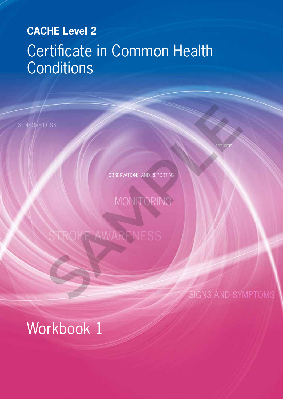# **CACHE Level 2 CACHE Level 2** Certificate in Common Health **Conditions**

SENSORY LOSS

ARTHRITIS

OBSERVATIONS AND REPORTING

**MONITORING** 

# AWARENESS SAMPLE AND ART AND REPORTING

SIGNS AND SYMPTOMS

# Workbook 1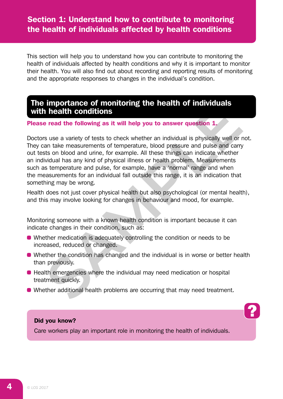### Section 1: Understand how to contribute to monitoring the health of individuals affected by health conditions

This section will help you to understand how you can contribute to monitoring the health of individuals affected by health conditions and why it is important to monitor their health. You will also find out about recording and reporting results of monitoring and the appropriate responses to changes in the individual's condition.

#### The importance of monitoring the health of individuals with health conditions

#### Please read the following as it will help you to answer question 1.

Doctors use a variety of tests to check whether an individual is physically well or not. They can take measurements of temperature, blood pressure and pulse and carry out tests on blood and urine, for example. All these things can indicate whether an individual has any kind of physical illness or health problem. Measurements such as temperature and pulse, for example, have a 'normal' range and when the measurements for an individual fall outside this range, it is an indication that something may be wrong. **In Bealtin Conditions** are instant of intended the conditions are a read the following as it will help you to answer question 1.<br>
In the mass we a variety of tests to check whether an individual is physically well or ran

Health does not just cover physical health but also psychological (or mental health), and this may involve looking for changes in behaviour and mood, for example.

Monitoring someone with a known health condition is important because it can indicate changes in their condition, such as:

- Whether medication is adequately controlling the condition or needs to be increased, reduced or changed.
- Whether the condition has changed and the individual is in worse or better health than previously.
- Health emergencies where the individual may need medication or hospital treatment quickly.
- Whether additional health problems are occurring that may need treatment.

#### Did you know?

Care workers play an important role in monitoring the health of individuals.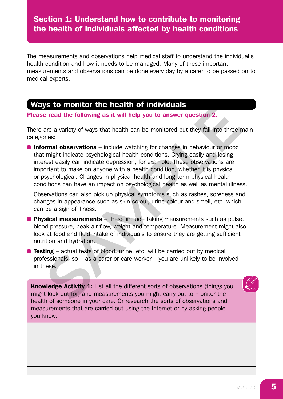## Section 1: Understand how to contribute to monitoring the health of individuals affected by health conditions

The measurements and observations help medical staff to understand the individual's health condition and how it needs to be managed. Many of these important measurements and observations can be done every day by a carer to be passed on to medical experts.

#### Ways to monitor the health of individuals

Please read the following as it will help you to answer question 2.

There are a variety of ways that health can be monitored but they fall into three main categories:

**• Informal observations** – include watching for changes in behaviour or mood that might indicate psychological health conditions. Crying easily and losing interest easily can indicate depression, for example. These observations are important to make on anyone with a health condition, whether it is physical or psychological. Changes in physical health and long-term physical health conditions can have an impact on psychological health as well as mental illness. **SAMO infolled and interact in the metallian of intelluations are a variety of ways that health can be monitored but they fall into three metallies in the metallies pychological health conditions in might indicate expectio** 

• Observations can also pick up physical symptoms such as rashes, soreness and changes in appearance such as skin colour, urine colour and smell, etc. which can be a sign of illness.

- **Physical measurements** these include taking measurements such as pulse, blood pressure, peak air flow, weight and temperature. Measurement might also look at food and fluid intake of individuals to ensure they are getting sufficient nutrition and hydration.
- **Testing** actual tests of blood, urine, etc. will be carried out by medical professionals, so – as a carer or care worker – you are unlikely to be involved in these.

Knowledge Activity 1: List all the different sorts of observations (things you might look out for) and measurements you might carry out to monitor the health of someone in your care. Or research the sorts of observations and measurements that are carried out using the Internet or by asking people you know.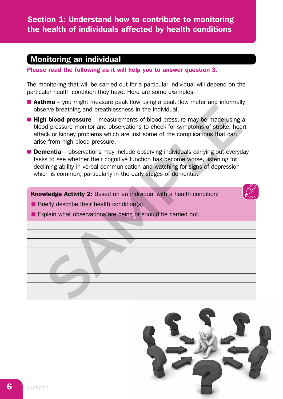# Monitoring an individual

Please read the following as it will help you to answer question 3.

The monitoring that will be carried out for a particular individual will depend on the particular health condition they have. Here are some examples:

- **Asthma** you might measure peak flow using a peak flow meter and informally observe breathing and breathlessness in the individual.
- $\bullet$  High blood pressure measurements of blood pressure may be made using a blood pressure monitor and observations to check for symptoms of stroke, heart attack or kidney problems which are just some of the complications that can arise from high blood pressure. From the broad transfer to the link of the matter and the method of the breathing and breathlessness in the lindividual.<br> **h blood pressure** – measurements of blood pressure may be made using a dipressure monitor and obser
- **Dementia** observations may include observing individuals carrying out everyday tasks to see whether their cognitive function has become worse, listening for declining ability in verbal communication and watching for signs of depression which is common, particularly in the early stages of dementia.

Knowledge Activity 2: Based on an individual with a health condition:

- **Briefly describe their health condition(s).**
- **Explain what observations are being or should be carried out.**

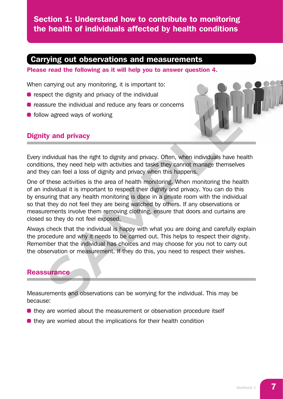Section 1: Understand how to contribute to monitoring the health of individuals affected by health conditions

#### Carrying out observations and measurements

Please read the following as it will help you to answer question 4.

When carrying out any monitoring, it is important to:

- $\bullet$  respect the dignity and privacy of the individual
- **•** reassure the individual and reduce any fears or concerns
- follow agreed ways of working

#### Dignity and privacy



Every individual has the right to dignity and privacy. Often, when individuals have health conditions, they need help with activities and tasks they cannot manage themselves and they can feel a loss of dignity and privacy when this happens.

One of these activities is the area of health monitoring. When monitoring the health of an individual it is important to respect their dignity and privacy. You can do this by ensuring that any health monitoring is done in a private room with the individual so that they do not feel they are being watched by others. If any observations or measurements involve them removing clothing, ensure that doors and curtains are closed so they do not feel exposed. Issure the individual and reduce any tears or concerns<br>
We agreed ways of working<br> **SAMPLY and privacy**<br> **SAMPLY and privacy**<br> **SAMPLY and privacy**<br> **SAMPLY and privacy**<br>
Samples the sequence of dignity and privacy of then

Always check that the individual is happy with what you are doing and carefully explain the procedure and why it needs to be carried out. This helps to respect their dignity. Remember that the individual has choices and may choose for you not to carry out the observation or measurement. If they do this, you need to respect their wishes.

#### **Reassurance**

Measurements and observations can be worrying for the individual. This may be because:

- **•** they are worried about the measurement or observation procedure itself
- $\bullet$  they are worried about the implications for their health condition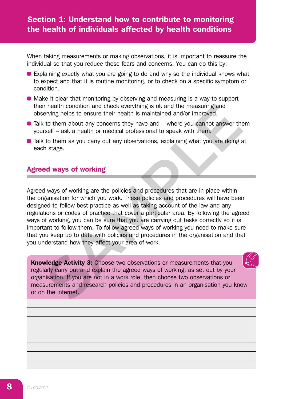When taking measurements or making observations, it is important to reassure the individual so that you reduce these fears and concerns. You can do this by:

- Explaining exactly what you are going to do and why so the individual knows what to expect and that it is routine monitoring, or to check on a specific symptom or condition.
- Make it clear that monitoring by observing and measuring is a way to support their health condition and check everything is ok and the measuring and observing helps to ensure their health is maintained and/or improved.
- $\bullet$  Talk to them about any concerns they have and  $-$  where you cannot answer them yourself – ask a health or medical professional to speak with them.
- Talk to them as you carry out any observations, explaining what you are doing at each stage.

#### Agreed ways of working

Agreed ways of working are the policies and procedures that are in place within the organisation for which you work. These policies and procedures will have been designed to follow best practice as well as taking account of the law and any regulations or codes of practice that cover a particular area. By following the agreed ways of working, you can be sure that you are carrying out tasks correctly so it is important to follow them. To follow agreed ways of working you need to make sure that you keep up to date with policies and procedures in the organisation and that you understand how they affect your area of work. The measuring the condition and check everything is ok and the measuring and<br>
are this particular term about any concerns they have and  $\sim$  where you cannot answer the<br>
to them about any concerns they have and  $\sim$  where

Knowledge Activity 3: Choose two observations or measurements that you regularly carry out and explain the agreed ways of working, as set out by your organisation. If you are not in a work role, then choose two observations or measurements and research policies and procedures in an organisation you know or on the internet.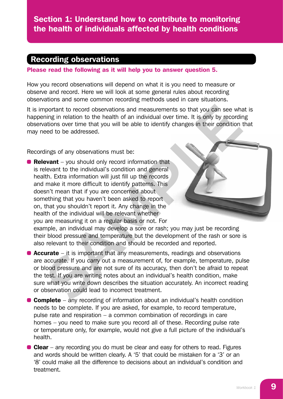## Recording observations

Please read the following as it will help you to answer question 5.

How you record observations will depend on what it is you need to measure or observe and record. Here we will look at some general rules about recording observations and some common recording methods used in care situations.

It is important to record observations and measurements so that you can see what is happening in relation to the health of an individual over time. It is only by recording observations over time that you will be able to identify changes in their condition that may need to be addressed.

Recordings of any observations must be:

 $\bullet$  Relevant – you should only record information that is relevant to the individual's condition and general health. Extra information will just fill up the records and make it more difficult to identify patterns. This doesn't mean that if you are concerned about something that you haven't been asked to report on, that you shouldn't report it. Any change in the health of the individual will be relevant whether you are measuring it on a regular basis or not. For montant to record observations and measurements so that you can see what<br>ing in relation to the health of an individual over time. It is only by recordir<br>ations over time that you will be able to identify changes in their



example, an individual may develop a sore or rash; you may just be recording their blood pressure and temperature but the development of the rash or sore is also relevant to their condition and should be recorded and reported.

**• Accurate** – it is important that any measurements, readings and observations are accurate. If you carry out a measurement of, for example, temperature, pulse or blood pressure and are not sure of its accuracy, then don't be afraid to repeat the test. If you are writing notes about an individual's health condition, make sure what you write down describes the situation accurately. An incorrect reading or observation could lead to incorrect treatment.

**• Complete** – any recording of information about an individual's health condition needs to be complete. If you are asked, for example, to record temperature, pulse rate and respiration – a common combination of recordings in care homes – you need to make sure you record all of these. Recording pulse rate or temperature only, for example, would not give a full picture of the individual's health.

 $\bullet$  Clear – any recording you do must be clear and easy for others to read. Figures and words should be written clearly. A '5' that could be mistaken for a '3' or an '8' could make all the difference to decisions about an individual's condition and treatment.